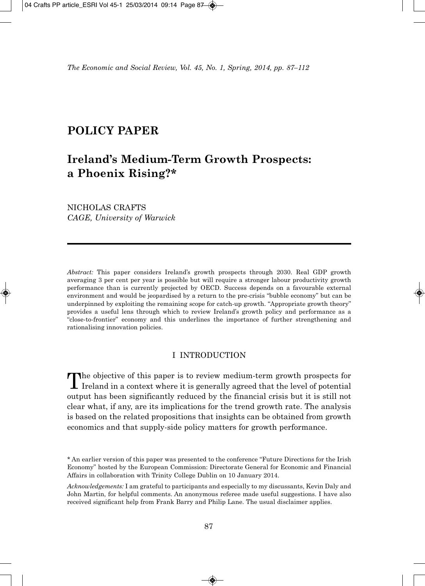## **POLICY PAPER**

# **Ireland's Medium-Term Growth Prospects: a Phoenix Rising?\***

NICHOLAS CRAFTS *CAGE, University of Warwick*

*Abstract:* This paper considers Ireland's growth prospects through 2030. Real GDP growth averaging 3 per cent per year is possible but will require a stronger labour productivity growth performance than is currently projected by OECD. Success depends on a favourable external environment and would be jeopardised by a return to the pre-crisis "bubble economy" but can be underpinned by exploiting the remaining scope for catch-up growth. "Appropriate growth theory" provides a useful lens through which to review Ireland's growth policy and performance as a "close-to-frontier" economy and this underlines the importance of further strengthening and rationalising innovation policies.

## I INTRODUCTION

The objective of this paper is to review medium-term growth prospects for Ireland in a context where it is generally agreed that the level of potential output has been significantly reduced by the financial crisis but it is still not clear what, if any, are its implications for the trend growth rate. The analysis is based on the related propositions that insights can be obtained from growth economics and that supply-side policy matters for growth performance.

<sup>\*</sup> An earlier version of this paper was presented to the conference "Future Directions for the Irish Economy" hosted by the European Commission: Directorate General for Economic and Financial Affairs in collaboration with Trinity College Dublin on 10 January 2014.

*Acknowledgements:* I am grateful to participants and especially to my discussants, Kevin Daly and John Martin, for helpful comments. An anonymous referee made useful suggestions. I have also received significant help from Frank Barry and Philip Lane. The usual disclaimer applies.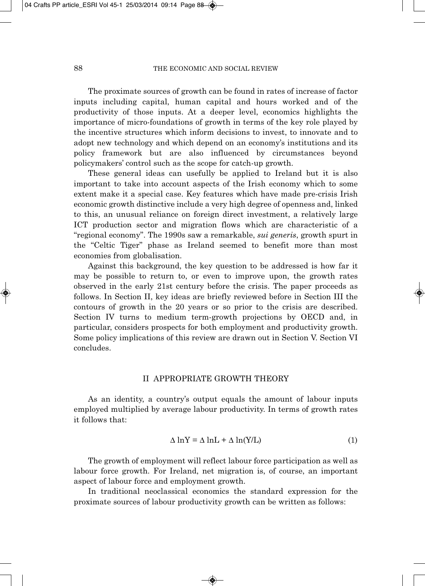The proximate sources of growth can be found in rates of increase of factor inputs including capital, human capital and hours worked and of the productivity of those inputs. At a deeper level, economics highlights the importance of micro-foundations of growth in terms of the key role played by the incentive structures which inform decisions to invest, to innovate and to adopt new technology and which depend on an economy's institutions and its policy framework but are also influenced by circumstances beyond policymakers' control such as the scope for catch-up growth.

These general ideas can usefully be applied to Ireland but it is also important to take into account aspects of the Irish economy which to some extent make it a special case. Key features which have made pre-crisis Irish economic growth distinctive include a very high degree of openness and, linked to this, an unusual reliance on foreign direct investment, a relatively large ICT production sector and migration flows which are characteristic of a "regional economy". The 1990s saw a remarkable, *sui generis*, growth spurt in the "Celtic Tiger" phase as Ireland seemed to benefit more than most economies from globalisation.

Against this background, the key question to be addressed is how far it may be possible to return to, or even to improve upon, the growth rates observed in the early 21st century before the crisis. The paper proceeds as follows. In Section II, key ideas are briefly reviewed before in Section III the contours of growth in the 20 years or so prior to the crisis are described. Section IV turns to medium term-growth projections by OECD and, in particular, considers prospects for both employment and productivity growth. Some policy implications of this review are drawn out in Section V. Section VI concludes.

#### II APPROPRIATE GROWTH THEORY

As an identity, a country's output equals the amount of labour inputs employed multiplied by average labour productivity. In terms of growth rates it follows that:

$$
\Delta \ln Y = \Delta \ln L + \Delta \ln(Y/L) \tag{1}
$$

The growth of employment will reflect labour force participation as well as labour force growth. For Ireland, net migration is, of course, an important aspect of labour force and employment growth.

In traditional neoclassical economics the standard expression for the proximate sources of labour productivity growth can be written as follows: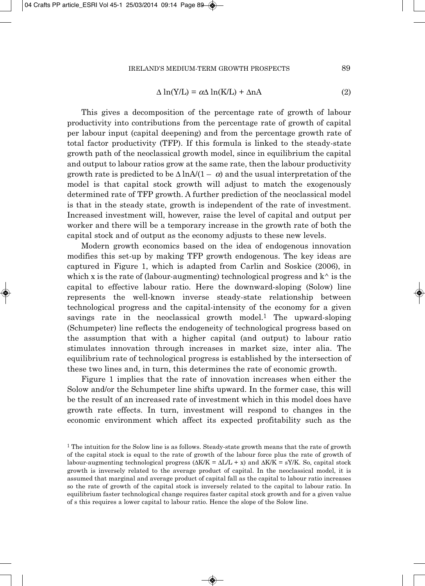#### IRELAND'S MEDIUM-TERM GROWTH PROSPECTS 89

$$
\Delta \ln(Y/L) = \alpha \Delta \ln(K/L) + \Delta nA \tag{2}
$$

This gives a decomposition of the percentage rate of growth of labour productivity into contributions from the percentage rate of growth of capital per labour input (capital deepening) and from the percentage growth rate of total factor productivity (TFP). If this formula is linked to the steady-state growth path of the neoclassical growth model, since in equilibrium the capital and output to labour ratios grow at the same rate, then the labour productivity growth rate is predicted to be  $\Delta \ln A/(1 - \alpha)$  and the usual interpretation of the model is that capital stock growth will adjust to match the exogenously determined rate of TFP growth. A further prediction of the neoclassical model is that in the steady state, growth is independent of the rate of investment. Increased investment will, however, raise the level of capital and output per worker and there will be a temporary increase in the growth rate of both the capital stock and of output as the economy adjusts to these new levels.

Modern growth economics based on the idea of endogenous innovation modifies this set-up by making TFP growth endogenous. The key ideas are captured in Figure 1, which is adapted from Carlin and Soskice (2006), in which x is the rate of (labour-augmenting) technological progress and  $k^{\wedge}$  is the capital to effective labour ratio. Here the downward-sloping (Solow) line represents the well-known inverse steady-state relationship between technological progress and the capital-intensity of the economy for a given savings rate in the neoclassical growth model.1 The upward-sloping (Schumpeter) line reflects the endogeneity of technological progress based on the assumption that with a higher capital (and output) to labour ratio stimulates innovation through increases in market size, inter alia. The equilibrium rate of technological progress is established by the intersection of these two lines and, in turn, this determines the rate of economic growth.

Figure 1 implies that the rate of innovation increases when either the Solow and/or the Schumpeter line shifts upward. In the former case, this will be the result of an increased rate of investment which in this model does have growth rate effects. In turn, investment will respond to changes in the economic environment which affect its expected profitability such as the

<sup>&</sup>lt;sup>1</sup> The intuition for the Solow line is as follows. Steady-state growth means that the rate of growth of the capital stock is equal to the rate of growth of the labour force plus the rate of growth of labour-augmenting technological progress  $(\Delta K/K = \Delta L/L + x)$  and  $\Delta K/K = sY/K$ . So, capital stock growth is inversely related to the average product of capital. In the neoclassical model, it is assumed that marginal and average product of capital fall as the capital to labour ratio increases so the rate of growth of the capital stock is inversely related to the capital to labour ratio. In equilibrium faster technological change requires faster capital stock growth and for a given value of s this requires a lower capital to labour ratio. Hence the slope of the Solow line.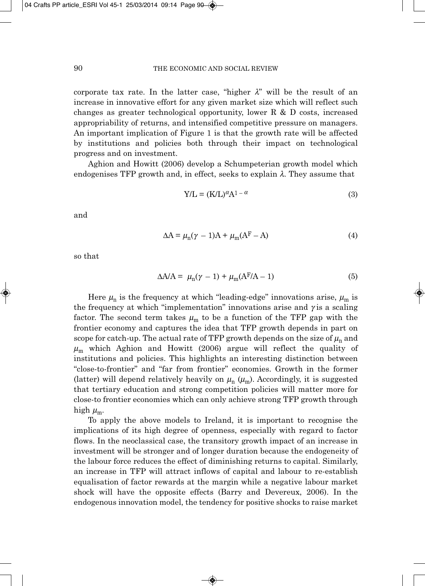corporate tax rate. In the latter case, "higher  $\lambda$ " will be the result of an increase in innovative effort for any given market size which will reflect such changes as greater technological opportunity, lower R & D costs, increased appropriability of returns, and intensified competitive pressure on managers. An important implication of Figure 1 is that the growth rate will be affected by institutions and policies both through their impact on technological progress and on investment.

Aghion and Howitt (2006) develop a Schumpeterian growth model which endogenises TFP growth and, in effect, seeks to explain  $\lambda$ . They assume that

$$
Y/L = (K/L)^{\alpha} A^{1-\alpha}
$$
 (3)

and

$$
\Delta A = \mu_{n}(\gamma - 1)A + \mu_{m}(A^{F} - A)
$$
\n(4)

so that

$$
\Delta A/A = \mu_{n}(\gamma - 1) + \mu_{m}(A^{F}/A - 1) \tag{5}
$$

Here  $\mu_n$  is the frequency at which "leading-edge" innovations arise,  $\mu_m$  is the frequency at which "implementation" innovations arise and  $\gamma$  is a scaling factor. The second term takes  $\mu_m$  to be a function of the TFP gap with the frontier economy and captures the idea that TFP growth depends in part on scope for catch-up. The actual rate of TFP growth depends on the size of  $\mu_n$  and  $\mu_{\rm m}$  which Aghion and Howitt (2006) argue will reflect the quality of institutions and policies. This highlights an interesting distinction between "close-to-frontier" and "far from frontier" economies. Growth in the former (latter) will depend relatively heavily on  $\mu_n$  ( $\mu_m$ ). Accordingly, it is suggested that tertiary education and strong competition policies will matter more for close-to frontier economies which can only achieve strong TFP growth through high  $\mu_m$ .

To apply the above models to Ireland, it is important to recognise the implications of its high degree of openness, especially with regard to factor flows. In the neoclassical case, the transitory growth impact of an increase in investment will be stronger and of longer duration because the endogeneity of the labour force reduces the effect of diminishing returns to capital. Similarly, an increase in TFP will attract inflows of capital and labour to re-establish equalisation of factor rewards at the margin while a negative labour market shock will have the opposite effects (Barry and Devereux, 2006). In the endogenous innovation model, the tendency for positive shocks to raise market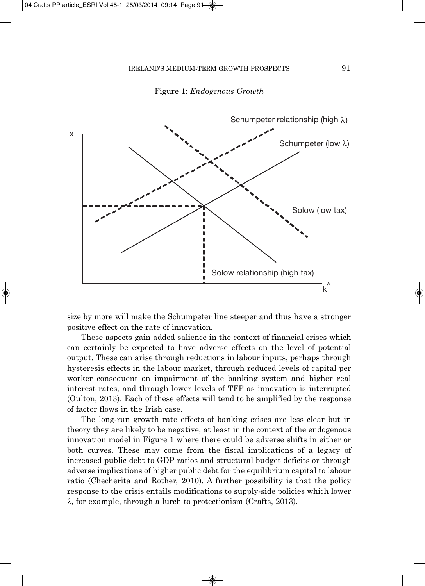

Figure 1: *Endogenous Growth*

size by more will make the Schumpeter line steeper and thus have a stronger positive effect on the rate of innovation.

These aspects gain added salience in the context of financial crises which can certainly be expected to have adverse effects on the level of potential output. These can arise through reductions in labour inputs, perhaps through hysteresis effects in the labour market, through reduced levels of capital per worker consequent on impairment of the banking system and higher real interest rates, and through lower levels of TFP as innovation is interrupted (Oulton, 2013). Each of these effects will tend to be amplified by the response of factor flows in the Irish case.

The long-run growth rate effects of banking crises are less clear but in theory they are likely to be negative, at least in the context of the endogenous innovation model in Figure 1 where there could be adverse shifts in either or both curves. These may come from the fiscal implications of a legacy of increased public debt to GDP ratios and structural budget deficits or through adverse implications of higher public debt for the equilibrium capital to labour ratio (Checherita and Rother, 2010). A further possibility is that the policy response to the crisis entails modifications to supply-side policies which lower  $\lambda$ , for example, through a lurch to protectionism (Crafts, 2013).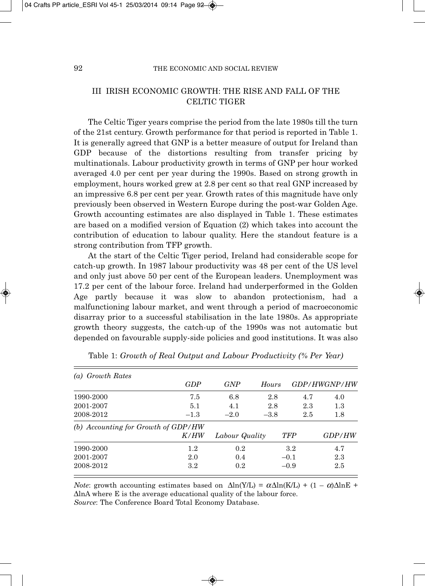## III IRISH ECONOMIC GROWTH: THE RISE AND FALL OF THE CELTIC TIGER

The Celtic Tiger years comprise the period from the late 1980s till the turn of the 21st century. Growth performance for that period is reported in Table 1. It is generally agreed that GNP is a better measure of output for Ireland than GDP because of the distortions resulting from transfer pricing by multinationals. Labour productivity growth in terms of GNP per hour worked averaged 4.0 per cent per year during the 1990s. Based on strong growth in employment, hours worked grew at 2.8 per cent so that real GNP increased by an impressive 6.8 per cent per year. Growth rates of this magnitude have only previously been observed in Western Europe during the post-war Golden Age. Growth accounting estimates are also displayed in Table 1. These estimates are based on a modified version of Equation (2) which takes into account the contribution of education to labour quality. Here the standout feature is a strong contribution from TFP growth.

At the start of the Celtic Tiger period, Ireland had considerable scope for catch-up growth. In 1987 labour productivity was 48 per cent of the US level and only just above 50 per cent of the European leaders. Unemployment was 17.2 per cent of the labour force. Ireland had underperformed in the Golden Age partly because it was slow to abandon protectionism, had a malfunctioning labour market, and went through a period of macroeconomic disarray prior to a successful stabilisation in the late 1980s. As appropriate growth theory suggests, the catch-up of the 1990s was not automatic but depended on favourable supply-side policies and good institutions. It was also

| (a) Growth Rates                    |         |                |        |            |                     |
|-------------------------------------|---------|----------------|--------|------------|---------------------|
|                                     | GDP     | <b>GNP</b>     | Hours  |            | <i>GDP/HWGNP/HW</i> |
| 1990-2000                           | 7.5     | 6.8            | 2.8    | 4.7        | 4.0                 |
| 2001-2007                           | 5.1     | 4.1            | 2.8    | 2.3        | 1.3                 |
| 2008-2012                           | $-1.3$  | $-2.0$         | $-3.8$ | 2.5        | 1.8                 |
| (b) Accounting for Growth of GDP/HW |         |                |        |            |                     |
|                                     | K/HW    | Labour Quality |        | <b>TFP</b> | <i>GDP/HW</i>       |
| 1990-2000                           | 1.2     | 0.2            |        | 3.2        | 4.7                 |
| 2001-2007                           | 2.0     | 0.4            |        | $-0.1$     | 2.3                 |
| 2008-2012                           | $3.2\,$ | 0.2            |        | $-0.9$     | 2.5                 |

Table 1: *Growth of Real Output and Labour Productivity (% Per Year)*

*Note*: growth accounting estimates based on  $\Delta \ln(Y/L) = \alpha \Delta \ln(K/L) + (1 - \alpha) \Delta \ln E$  +  $\Delta$ lnA where E is the average educational quality of the labour force. *Source*: The Conference Board Total Economy Database.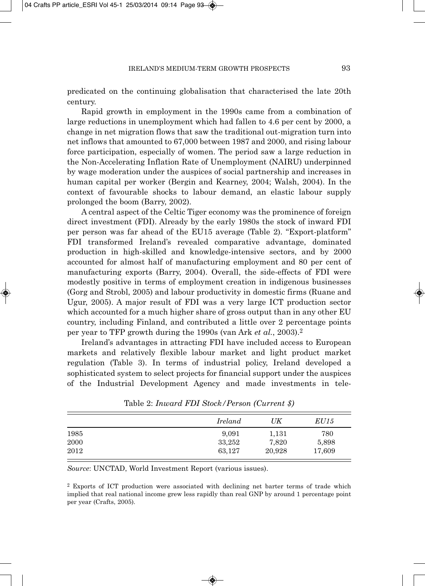predicated on the continuing globalisation that characterised the late 20th century.

Rapid growth in employment in the 1990s came from a combination of large reductions in unemployment which had fallen to 4.6 per cent by 2000, a change in net migration flows that saw the traditional out-migration turn into net inflows that amounted to 67,000 between 1987 and 2000, and rising labour force participation, especially of women. The period saw a large reduction in the Non-Accelerating Inflation Rate of Unemployment (NAIRU) underpinned by wage moderation under the auspices of social partnership and increases in human capital per worker (Bergin and Kearney, 2004; Walsh, 2004). In the context of favourable shocks to labour demand, an elastic labour supply prolonged the boom (Barry, 2002).

A central aspect of the Celtic Tiger economy was the prominence of foreign direct investment (FDI). Already by the early 1980s the stock of inward FDI per person was far ahead of the EU15 average (Table 2). "Export-platform" FDI transformed Ireland's revealed comparative advantage, dominated production in high-skilled and knowledge-intensive sectors, and by 2000 accounted for almost half of manufacturing employment and 80 per cent of manufacturing exports (Barry, 2004). Overall, the side-effects of FDI were modestly positive in terms of employment creation in indigenous businesses (Gorg and Strobl, 2005) and labour productivity in domestic firms (Ruane and Ugur, 2005). A major result of FDI was a very large ICT production sector which accounted for a much higher share of gross output than in any other EU country, including Finland, and contributed a little over 2 percentage points per year to TFP growth during the 1990s (van Ark *et al.*, 2003).2

Ireland's advantages in attracting FDI have included access to European markets and relatively flexible labour market and light product market regulation (Table 3). In terms of industrial policy, Ireland developed a sophisticated system to select projects for financial support under the auspices of the Industrial Development Agency and made investments in tele -

|      | Ireland | UK     | <i>EU15</i> |
|------|---------|--------|-------------|
| 1985 | 9.091   | 1,131  | 780         |
| 2000 | 33,252  | 7,820  | 5,898       |
| 2012 | 63,127  | 20,928 | 17,609      |

Table 2: *Inward FDI Stock/Person (Current \$)*

*Source*: UNCTAD, World Investment Report (various issues).

<sup>2</sup> Exports of ICT production were associated with declining net barter terms of trade which implied that real national income grew less rapidly than real GNP by around 1 percentage point per year (Crafts, 2005).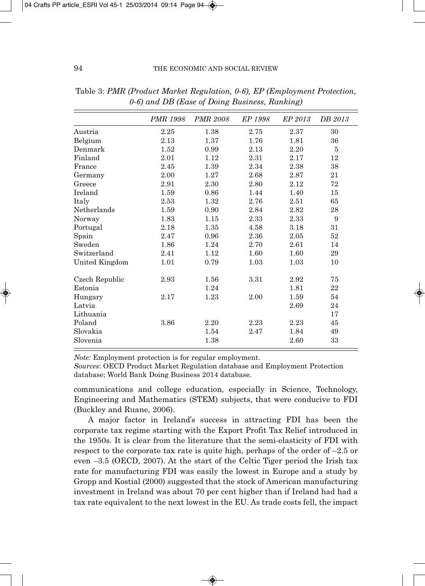|                | PMR 1998 | <b>PMR 2008</b> | EP 1998 | EP 2013 | DB 2013 |
|----------------|----------|-----------------|---------|---------|---------|
| Austria        | 2.25     | 1.38            | 2.75    | 2.37    | 30      |
| Belgium        | 2.13     | 1.37            | 1.76    | 1.81    | 36      |
| Denmark        | 1.52     | 0.99            | 2.13    | 2.20    | 5       |
| Finland        | 2.01     | 1.12            | 2.31    | 2.17    | 12      |
| France         | 2.45     | 1.39            | 2.34    | 2.38    | 38      |
| Germany        | 2.00     | 1.27            | 2.68    | 2.87    | 21      |
| Greece         | 2.91     | 2.30            | 2.80    | 2.12    | 72      |
| Ireland        | 1.59     | 0.86            | 1.44    | 1.40    | 15      |
| Italy          | 2.53     | 1.32            | 2.76    | 2.51    | 65      |
| Netherlands    | 1.59     | 0.90            | 2.84    | 2.82    | 28      |
| Norway         | 1.83     | 1.15            | 2.33    | 2.33    | 9       |
| Portugal       | 2.18     | 1.35            | 4.58    | 3.18    | 31      |
| Spain          | 2.47     | 0.96            | 2.36    | 2.05    | 52      |
| Sweden         | 1.86     | 1.24            | 2.70    | 2.61    | 14      |
| Switzerland    | 2.41     | 1.12            | 1.60    | 1.60    | 29      |
| United Kingdom | 1.01     | 0.79            | 1.03    | 1.03    | 10      |
| Czech Republic | 2.93     | 1.56            | 3.31    | 2.92    | 75      |
| Estonia        |          | 1.24            |         | 1.81    | 22      |
| Hungary        | 2.17     | 1.23            | 2.00    | 1.59    | 54      |
| Latvia         |          |                 |         | 2.69    | 24      |
| Lithuania      |          |                 |         |         | 17      |
| Poland         | 3.86     | 2.20            | 2.23    | 2.23    | 45      |
| Slovakia       |          | 1.54            | 2.47    | 1.84    | 49      |
| Slovenia       |          | 1.38            |         | 2.60    | 33      |
|                |          |                 |         |         |         |

Table 3: *PMR (Product Market Regulation, 0-6), EP (Employment Protection, 0-6) and DB (Ease of Doing Business, Ranking)*

*Note:* Employment protection is for regular employment.

*Sources*: OECD Product Market Regulation database and Employment Protection database; World Bank Doing Business 2014 database.

communications and college education, especially in Science, Technology, Engineering and Mathematics (STEM) subjects, that were conducive to FDI (Buckley and Ruane, 2006).

A major factor in Ireland's success in attracting FDI has been the corporate tax regime starting with the Export Profit Tax Relief introduced in the 1950s. It is clear from the literature that the semi-elasticity of FDI with respect to the corporate tax rate is quite high, perhaps of the order of  $-2.5$  or even –3.5 (OECD, 2007). At the start of the Celtic Tiger period the Irish tax rate for manufacturing FDI was easily the lowest in Europe and a study by Gropp and Kostial (2000) suggested that the stock of American manufacturing investment in Ireland was about 70 per cent higher than if Ireland had had a tax rate equivalent to the next lowest in the EU. As trade costs fell, the impact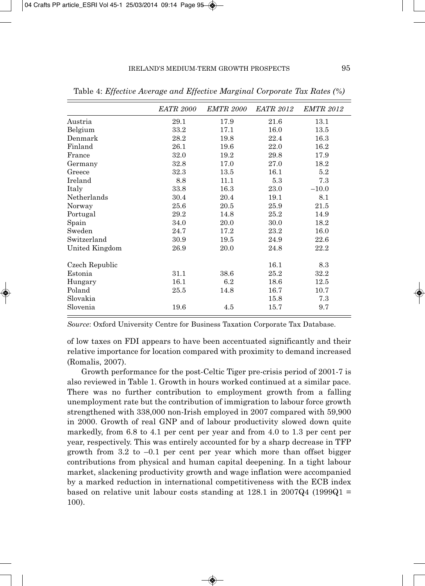|                | <i>EATR 2000</i> | <b>EMTR 2000</b> | <i>EATR 2012</i> | <b>EMTR 2012</b> |
|----------------|------------------|------------------|------------------|------------------|
| Austria        | 29.1             | 17.9             | 21.6             | 13.1             |
| Belgium        | 33.2             | 17.1             | 16.0             | 13.5             |
| Denmark        | 28.2             | 19.8             | 22.4             | 16.3             |
| Finland        | 26.1             | 19.6             | 22.0             | 16.2             |
| France         | 32.0             | 19.2             | 29.8             | 17.9             |
| Germany        | 32.8             | 17.0             | 27.0             | 18.2             |
| Greece         | 32.3             | 13.5             | 16.1             | 5.2              |
| Ireland        | 8.8              | 11.1             | 5.3              | 7.3              |
| Italy          | 33.8             | 16.3             | 23.0             | $-10.0$          |
| Netherlands    | 30.4             | 20.4             | 19.1             | 8.1              |
| Norway         | 25.6             | 20.5             | 25.9             | 21.5             |
| Portugal       | 29.2             | 14.8             | 25.2             | 14.9             |
| Spain          | 34.0             | 20.0             | 30.0             | 18.2             |
| Sweden         | 24.7             | 17.2             | 23.2             | 16.0             |
| Switzerland    | 30.9             | 19.5             | 24.9             | 22.6             |
| United Kingdom | 26.9             | 20.0             | 24.8             | 22.2             |
| Czech Republic |                  |                  | 16.1             | 8.3              |
| Estonia        | $31.1\,$         | 38.6             | 25.2             | 32.2             |
| Hungary        | 16.1             | 6.2              | 18.6             | 12.5             |
| Poland         | 25.5             | 14.8             | 16.7             | 10.7             |
| Slovakia       |                  |                  | 15.8             | 7.3              |
| Slovenia       | 19.6             | 4.5              | 15.7             | 9.7              |

Table 4: *Effective Average and Effective Marginal Corporate Tax Rates (%)*

*Source*: Oxford University Centre for Business Taxation Corporate Tax Database.

of low taxes on FDI appears to have been accentuated significantly and their relative importance for location compared with proximity to demand increased (Romalis, 2007).

Growth performance for the post-Celtic Tiger pre-crisis period of 2001-7 is also reviewed in Table 1. Growth in hours worked continued at a similar pace. There was no further contribution to employment growth from a falling unemployment rate but the contribution of immigration to labour force growth strengthened with 338,000 non-Irish employed in 2007 compared with 59,900 in 2000. Growth of real GNP and of labour productivity slowed down quite markedly, from 6.8 to 4.1 per cent per year and from 4.0 to 1.3 per cent per year, respectively. This was entirely accounted for by a sharp decrease in TFP growth from  $3.2$  to  $-0.1$  per cent per year which more than offset bigger contributions from physical and human capital deepening. In a tight labour market, slackening productivity growth and wage inflation were accompanied by a marked reduction in international competitiveness with the ECB index based on relative unit labour costs standing at  $128.1$  in  $2007Q4$  (1999Q1 = 100).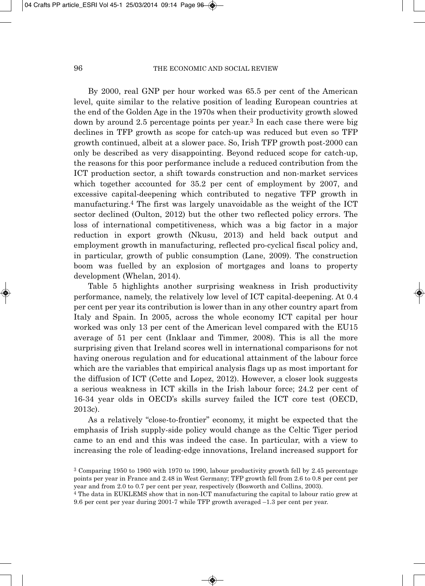By 2000, real GNP per hour worked was 65.5 per cent of the American level, quite similar to the relative position of leading European countries at the end of the Golden Age in the 1970s when their productivity growth slowed down by around 2.5 percentage points per year.3 In each case there were big declines in TFP growth as scope for catch-up was reduced but even so TFP growth continued, albeit at a slower pace. So, Irish TFP growth post-2000 can only be described as very disappointing. Beyond reduced scope for catch-up, the reasons for this poor performance include a reduced contribution from the ICT production sector, a shift towards construction and non-market services which together accounted for 35.2 per cent of employment by 2007, and excessive capital-deepening which contributed to negative TFP growth in manufacturing.4 The first was largely unavoidable as the weight of the ICT sector declined (Oulton, 2012) but the other two reflected policy errors. The loss of international competitiveness, which was a big factor in a major reduction in export growth (Nkusu, 2013) and held back output and employment growth in manufacturing, reflected pro-cyclical fiscal policy and, in particular, growth of public consumption (Lane, 2009). The construction boom was fuelled by an explosion of mortgages and loans to property development (Whelan, 2014).

Table 5 highlights another surprising weakness in Irish productivity performance, namely, the relatively low level of ICT capital-deepening. At 0.4 per cent per year its contribution is lower than in any other country apart from Italy and Spain. In 2005, across the whole economy ICT capital per hour worked was only 13 per cent of the American level compared with the EU15 average of 51 per cent (Inklaar and Timmer, 2008). This is all the more surprising given that Ireland scores well in international comparisons for not having onerous regulation and for educational attainment of the labour force which are the variables that empirical analysis flags up as most important for the diffusion of ICT (Cette and Lopez, 2012). However, a closer look suggests a serious weakness in ICT skills in the Irish labour force; 24.2 per cent of 16-34 year olds in OECD's skills survey failed the ICT core test (OECD, 2013c).

As a relatively "close-to-frontier" economy, it might be expected that the emphasis of Irish supply-side policy would change as the Celtic Tiger period came to an end and this was indeed the case. In particular, with a view to increasing the role of leading-edge innovations, Ireland increased support for

<sup>3</sup> Comparing 1950 to 1960 with 1970 to 1990, labour productivity growth fell by 2.45 percentage points per year in France and 2.48 in West Germany; TFP growth fell from 2.6 to 0.8 per cent per year and from 2.0 to 0.7 per cent per year, respectively (Bosworth and Collins, 2003).

<sup>4</sup> The data in EUKLEMS show that in non-ICT manufacturing the capital to labour ratio grew at 9.6 per cent per year during 2001-7 while TFP growth averaged –1.3 per cent per year.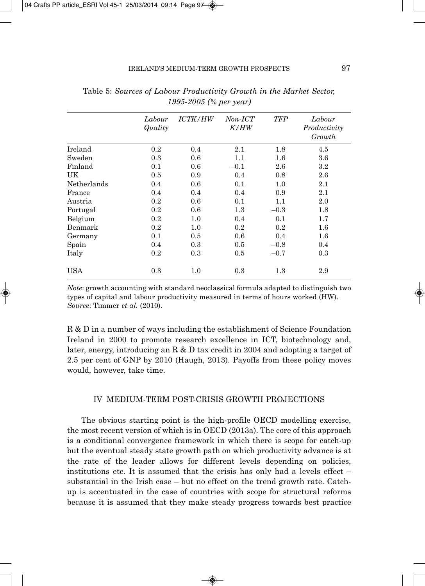|             | Labour<br>Quality | <i>ICTK/HW</i> | $Non-ICT$<br>K/HW | <b>TFP</b> | Labour<br>Productivity<br>Growth |  |  |
|-------------|-------------------|----------------|-------------------|------------|----------------------------------|--|--|
| Ireland     | 0.2               | 0.4            | $2.1\,$           | $1.8\,$    | 4.5                              |  |  |
| Sweden      | 0.3               | 0.6            | 1.1               | $1.6\,$    | $3.6\,$                          |  |  |
| Finland     | 0.1               | 0.6            | $-0.1$            | 2.6        | $3.2\,$                          |  |  |
| <b>UK</b>   | 0.5               | 0.9            | 0.4               | 0.8        | 2.6                              |  |  |
| Netherlands | 0.4               | 0.6            | 0.1               | 1.0        | 2.1                              |  |  |
| France      | 0.4               | 0.4            | 0.4               | 0.9        | $2.1\,$                          |  |  |
| Austria     | 0.2               | 0.6            | 0.1               | 1.1        | 2.0                              |  |  |
| Portugal    | 0.2               | 0.6            | 1.3               | $-0.3$     | $1.8\,$                          |  |  |
| Belgium     | 0.2               | $1.0\,$        | 0.4               | 0.1        | 1.7                              |  |  |
| Denmark     | 0.2               | 1.0            | 0.2               | 0.2        | $1.6\,$                          |  |  |
| Germany     | 0.1               | $0.5\,$        | 0.6               | 0.4        | $1.6\,$                          |  |  |
| Spain       | 0.4               | 0.3            | 0.5               | $-0.8$     | 0.4                              |  |  |
| Italy       | 0.2               | 0.3            | 0.5               | $-0.7$     | 0.3                              |  |  |
| <b>USA</b>  | 0.3               | $1.0\,$        | 0.3               | $1.3\,$    | 2.9                              |  |  |

Table 5: *Sources of Labour Productivity Growth in the Market Sector, 1995-2005 (% per year)*

*Note*: growth accounting with standard neoclassical formula adapted to distinguish two types of capital and labour productivity measured in terms of hours worked (HW). *Source*: Timmer *et al.* (2010).

R & D in a number of ways including the establishment of Science Foundation Ireland in 2000 to promote research excellence in ICT, biotechnology and, later, energy, introducing an R & D tax credit in 2004 and adopting a target of 2.5 per cent of GNP by 2010 (Haugh, 2013). Payoffs from these policy moves would, however, take time.

## IV MEDIUM-TERM POST-CRISIS GROWTH PROJECTIONS

The obvious starting point is the high-profile OECD modelling exercise, the most recent version of which is in OECD (2013a). The core of this approach is a conditional convergence framework in which there is scope for catch-up but the eventual steady state growth path on which productivity advance is at the rate of the leader allows for different levels depending on policies, institutions etc. It is assumed that the crisis has only had a levels effect – substantial in the Irish case – but no effect on the trend growth rate. Catchup is accentuated in the case of countries with scope for structural reforms because it is assumed that they make steady progress towards best practice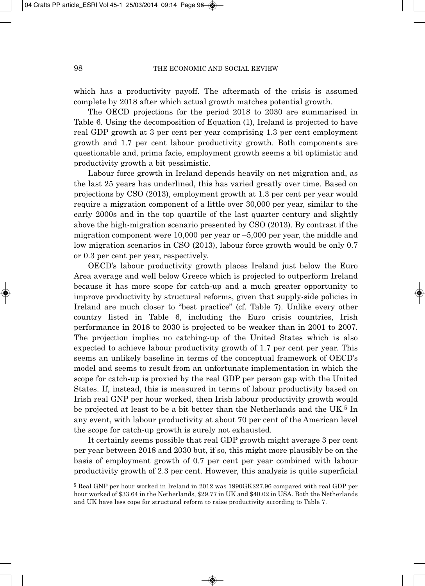which has a productivity payoff. The aftermath of the crisis is assumed complete by 2018 after which actual growth matches potential growth.

The OECD projections for the period 2018 to 2030 are summarised in Table 6. Using the decomposition of Equation (1), Ireland is projected to have real GDP growth at 3 per cent per year comprising 1.3 per cent employment growth and 1.7 per cent labour productivity growth. Both components are questionable and, prima facie, employment growth seems a bit optimistic and productivity growth a bit pessimistic.

Labour force growth in Ireland depends heavily on net migration and, as the last 25 years has underlined, this has varied greatly over time. Based on projections by CSO (2013), employment growth at 1.3 per cent per year would require a migration component of a little over 30,000 per year, similar to the early 2000s and in the top quartile of the last quarter century and slightly above the high-migration scenario presented by CSO (2013). By contrast if the migration component were 10,000 per year or –5,000 per year, the middle and low migration scenarios in CSO (2013), labour force growth would be only 0.7 or 0.3 per cent per year, respectively.

OECD's labour productivity growth places Ireland just below the Euro Area average and well below Greece which is projected to outperform Ireland because it has more scope for catch-up and a much greater opportunity to improve productivity by structural reforms, given that supply-side policies in Ireland are much closer to "best practice" (cf. Table 7). Unlike every other country listed in Table 6, including the Euro crisis countries, Irish performance in 2018 to 2030 is projected to be weaker than in 2001 to 2007. The projection implies no catching-up of the United States which is also expected to achieve labour productivity growth of 1.7 per cent per year. This seems an unlikely baseline in terms of the conceptual framework of OECD's model and seems to result from an unfortunate implementation in which the scope for catch-up is proxied by the real GDP per person gap with the United States. If, instead, this is measured in terms of labour productivity based on Irish real GNP per hour worked, then Irish labour productivity growth would be projected at least to be a bit better than the Netherlands and the UK.<sup>5</sup> In any event, with labour productivity at about 70 per cent of the American level the scope for catch-up growth is surely not exhausted.

It certainly seems possible that real GDP growth might average 3 per cent per year between 2018 and 2030 but, if so, this might more plausibly be on the basis of employment growth of 0.7 per cent per year combined with labour productivity growth of 2.3 per cent. However, this analysis is quite superficial

<sup>5</sup> Real GNP per hour worked in Ireland in 2012 was 1990GK\$27.96 compared with real GDP per hour worked of \$33.64 in the Netherlands, \$29.77 in UK and \$40.02 in USA. Both the Netherlands and UK have less cope for structural reform to raise productivity according to Table 7.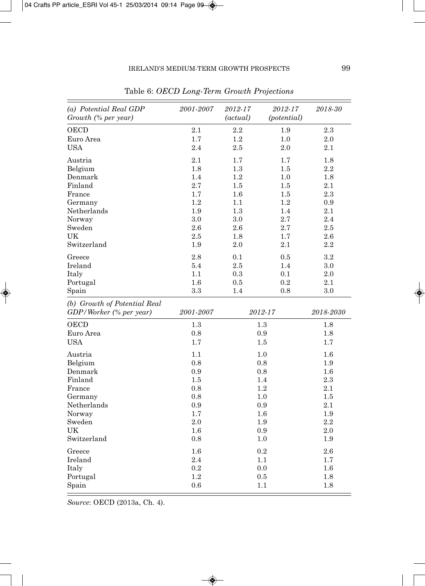| (a) Potential Real GDP<br>Growth (% per year)           | 2001-2007 | 2012-17<br>(actual) | 2012-17<br>(potential) | 2018-30   |
|---------------------------------------------------------|-----------|---------------------|------------------------|-----------|
| <b>OECD</b>                                             | 2.1       | 2.2                 | $1.9\,$                | $2.3\,$   |
| Euro Area                                               | 1.7       | 1.2                 | 1.0                    | 2.0       |
| USA                                                     | 2.4       | 2.5                 | 2.0                    | $2.1\,$   |
| Austria                                                 | 2.1       | 1.7                 | 1.7                    | 1.8       |
| Belgium                                                 | 1.8       | $1.3\,$             | $1.5\,$                | $2.2\,$   |
| Denmark                                                 | 1.4       | 1.2                 | 1.0                    | 1.8       |
| Finland                                                 | 2.7       | 1.5                 | 1.5                    | 2.1       |
| France                                                  | 1.7       | 1.6                 | 1.5                    | 2.3       |
| Germany                                                 | 1.2       | 1.1                 | 1.2                    | 0.9       |
| Netherlands                                             | 1.9       | 1.3                 | 1.4                    | $2.1\,$   |
| Norway                                                  | 3.0       | 3.0                 | 2.7                    | 2.4       |
| Sweden                                                  | 2.6       | $2.6\,$             | 2.7                    | 2.5       |
| UK                                                      | 2.5       | 1.8                 | 1.7                    | 2.6       |
| Switzerland                                             | 1.9       | 2.0                 | 2.1                    | 2.2       |
| Greece                                                  | 2.8       | 0.1                 | 0.5                    | $3.2\,$   |
| Ireland                                                 | 5.4       | 2.5                 | 1.4                    | 3.0       |
| Italy                                                   | 1.1       | 0.3                 | 0.1                    | 2.0       |
| Portugal                                                | 1.6       | 0.5                 | 0.2                    | 2.1       |
| Spain                                                   | 3.3       | 1.4                 | 0.8                    | 3.0       |
| (b) Growth of Potential Real<br>GDP/Worker (% per year) | 2001-2007 |                     | 2012-17                | 2018-2030 |
| OECD                                                    | 1.3       |                     | 1.3                    | 1.8       |
| Euro Area                                               | 0.8       |                     | $0.9\,$                | $1.8\,$   |
| <b>USA</b>                                              | 1.7       |                     | 1.5                    | 1.7       |
| Austria                                                 | 1.1       |                     | 1.0                    | $1.6\,$   |
| Belgium                                                 | 0.8       |                     | 0.8                    | 1.9       |
| Denmark                                                 | 0.9       |                     | 0.8                    | 1.6       |
| Finland                                                 | 1.5       |                     | 1.4                    | 2.3       |
| France                                                  | 0.8       |                     | 1.2                    | 2.1       |
| Germany                                                 | 0.8       |                     | 1.0                    | 1.5       |
| Netherlands                                             | 0.9       |                     | 0.9                    | 2.1       |
| Norway                                                  | $1.7\,$   |                     | $1.6\,$                | $1.9\,$   |
| Sweden                                                  | 2.0       |                     | 1.9                    | 2.2       |
| UK                                                      | 1.6       |                     | 0.9                    | 2.0       |
| Switzerland                                             | 0.8       |                     | 1.0                    | 1.9       |
| Greece                                                  | 1.6       |                     | 0.2                    | 2.6       |
| Ireland                                                 | 2.4       |                     | 1.1                    | 1.7       |
| Italy                                                   | 0.2       |                     | 0.0                    | $1.6\,$   |
| Portugal                                                | 1.2       |                     | $0.5\,$                | 1.8       |
| Spain                                                   | 0.6       |                     | 1.1                    | 1.8       |

Table 6: *OECD Long-Term Growth Projections*

*Source*: OECD (2013a, Ch. 4).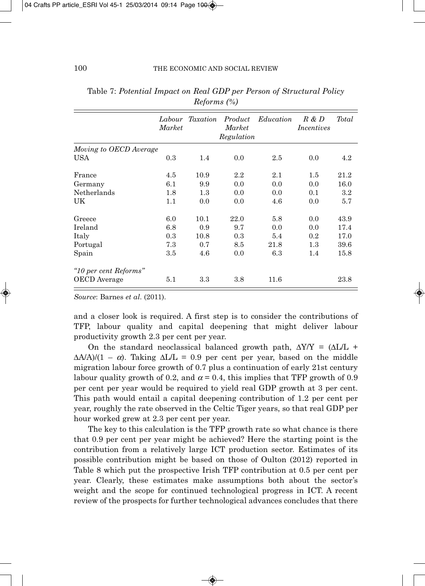|                        | Market | Labour Taxation | Product<br>Market<br>Regulation | Education | $R \& D$<br>Incentives | Total |
|------------------------|--------|-----------------|---------------------------------|-----------|------------------------|-------|
| Moving to OECD Average |        |                 |                                 |           |                        |       |
| <b>USA</b>             | 0.3    | 1.4             | 0.0                             | 2.5       | 0.0                    | 4.2   |
| France                 | 4.5    | 10.9            | $2.2\,$                         | 2.1       | 1.5                    | 21.2  |
| Germany                | 6.1    | 9.9             | 0.0                             | 0.0       | 0.0                    | 16.0  |
| Netherlands            | 1.8    | 1.3             | 0.0                             | 0.0       | 0.1                    | 3.2   |
| UK                     | 1.1    | 0.0             | 0.0                             | 4.6       | 0.0                    | 5.7   |
| Greece                 | 6.0    | 10.1            | 22.0                            | 5.8       | 0.0                    | 43.9  |
| Ireland                | 6.8    | 0.9             | 9.7                             | 0.0       | 0.0                    | 17.4  |
| Italy                  | 0.3    | 10.8            | 0.3                             | 5.4       | 0.2                    | 17.0  |
| Portugal               | 7.3    | 0.7             | 8.5                             | 21.8      | 1.3                    | 39.6  |
| Spain                  | 3.5    | 4.6             | 0.0                             | 6.3       | 1.4                    | 15.8  |
| "10 per cent Reforms"  |        |                 |                                 |           |                        |       |
| OECD Average           | 5.1    | 3.3             | 3.8                             | 11.6      |                        | 23.8  |

Table 7: *Potential Impact on Real GDP per Person of Structural Policy Reforms (%)*

*Source*: Barnes *et al*. (2011).

and a closer look is required. A first step is to consider the contributions of TFP, labour quality and capital deepening that might deliver labour productivity growth 2.3 per cent per year.

On the standard neoclassical balanced growth path,  $\Delta Y/Y = (\Delta L/L +$  $\Delta A/A$ /(1 –  $\alpha$ ). Taking  $\Delta L/L = 0.9$  per cent per year, based on the middle migration labour force growth of 0.7 plus a continuation of early 21st century labour quality growth of 0.2, and  $\alpha$  = 0.4, this implies that TFP growth of 0.9 per cent per year would be required to yield real GDP growth at 3 per cent. This path would entail a capital deepening contribution of 1.2 per cent per year, roughly the rate observed in the Celtic Tiger years, so that real GDP per hour worked grew at 2.3 per cent per year.

The key to this calculation is the TFP growth rate so what chance is there that 0.9 per cent per year might be achieved? Here the starting point is the contribution from a relatively large ICT production sector. Estimates of its possible contribution might be based on those of Oulton (2012) reported in Table 8 which put the prospective Irish TFP contribution at 0.5 per cent per year. Clearly, these estimates make assumptions both about the sector's weight and the scope for continued technological progress in ICT. A recent review of the prospects for further technological advances concludes that there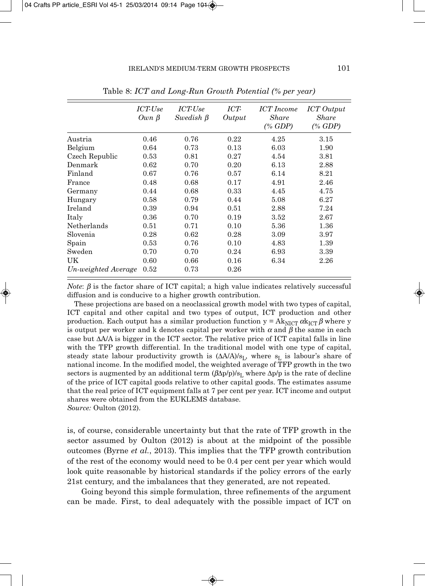|                     | ICT-Use<br>$Own \beta$ | ICT-Use<br>Swedish $\beta$ | ICT-<br>Output | ICT Income<br>Share<br>$(\%$ GDP) | <b>ICT</b> Output<br>Share<br>$(\%$ GDP) |
|---------------------|------------------------|----------------------------|----------------|-----------------------------------|------------------------------------------|
| Austria             | 0.46                   | 0.76                       | 0.22           | 4.25                              | 3.15                                     |
| Belgium             | 0.64                   | 0.73                       | 0.13           | 6.03                              | 1.90                                     |
| Czech Republic      | 0.53                   | 0.81                       | 0.27           | 4.54                              | 3.81                                     |
| Denmark             | 0.62                   | 0.70                       | 0.20           | 6.13                              | 2.88                                     |
| Finland             | 0.67                   | 0.76                       | 0.57           | 6.14                              | 8.21                                     |
| France              | 0.48                   | 0.68                       | 0.17           | 4.91                              | 2.46                                     |
| Germany             | 0.44                   | 0.68                       | 0.33           | 4.45                              | 4.75                                     |
| Hungary             | 0.58                   | 0.79                       | 0.44           | 5.08                              | 6.27                                     |
| Ireland             | 0.39                   | 0.94                       | 0.51           | 2.88                              | 7.24                                     |
| Italy               | 0.36                   | 0.70                       | 0.19           | 3.52                              | 2.67                                     |
| Netherlands         | 0.51                   | 0.71                       | 0.10           | 5.36                              | 1.36                                     |
| Slovenia            | 0.28                   | 0.62                       | 0.28           | 3.09                              | 3.97                                     |
| Spain               | 0.53                   | 0.76                       | 0.10           | 4.83                              | 1.39                                     |
| Sweden              | 0.70                   | 0.70                       | 0.24           | 6.93                              | 3.39                                     |
| UK                  | 0.60                   | 0.66                       | 0.16           | 6.34                              | 2.26                                     |
| Un-weighted Average | 0.52                   | 0.73                       | 0.26           |                                   |                                          |

Table 8: *ICT and Long-Run Growth Potential (% per year)*

*Note*:  $\beta$  is the factor share of ICT capital; a high value indicates relatively successful diffusion and is conducive to a higher growth contribution.

These projections are based on a neoclassical growth model with two types of capital, ICT capital and other capital and two types of output, ICT production and other production. Each output has a similar production function  $y = Ak_{\text{NICT}} \alpha k_{\text{ICT}} \beta$  where y is output per worker and k denotes capital per worker with  $\alpha$  and  $\beta$  the same in each case but  $\Delta A/A$  is bigger in the ICT sector. The relative price of ICT capital falls in line with the TFP growth differential. In the traditional model with one type of capital, steady state labour productivity growth is  $(\Delta A/A)/s_L$ , where  $s_L$  is labour's share of national income. In the modified model, the weighted average of TFP growth in the two sectors is augmented by an additional term  $(\beta \Delta p/p)/s_L$  where  $\Delta p/p$  is the rate of decline of the price of ICT capital goods relative to other capital goods. The estimates assume that the real price of ICT equipment falls at 7 per cent per year. ICT income and output shares were obtained from the EUKLEMS database.

*Source:* Oulton (2012).

is, of course, considerable uncertainty but that the rate of TFP growth in the sector assumed by Oulton (2012) is about at the midpoint of the possible outcomes (Byrne *et al.*, 2013). This implies that the TFP growth contribution of the rest of the economy would need to be 0.4 per cent per year which would look quite reasonable by historical standards if the policy errors of the early 21st century, and the imbalances that they generated, are not repeated.

Going beyond this simple formulation, three refinements of the argument can be made. First, to deal adequately with the possible impact of ICT on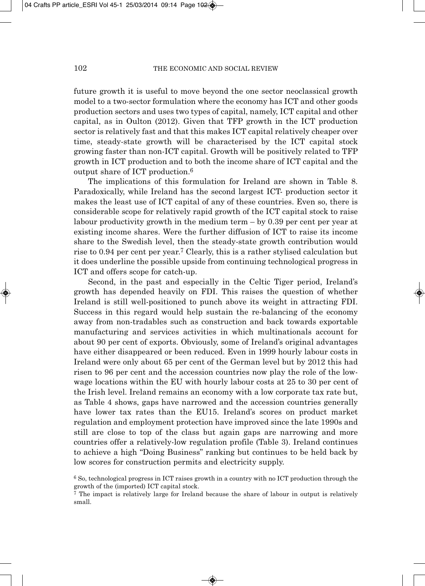future growth it is useful to move beyond the one sector neoclassical growth model to a two-sector formulation where the economy has ICT and other goods production sectors and uses two types of capital, namely, ICT capital and other capital, as in Oulton (2012). Given that TFP growth in the ICT production sector is relatively fast and that this makes ICT capital relatively cheaper over time, steady-state growth will be characterised by the ICT capital stock growing faster than non-ICT capital. Growth will be positively related to TFP growth in ICT production and to both the income share of ICT capital and the output share of ICT production.6

The implications of this formulation for Ireland are shown in Table 8. Paradoxically, while Ireland has the second largest ICT- production sector it makes the least use of ICT capital of any of these countries. Even so, there is considerable scope for relatively rapid growth of the ICT capital stock to raise labour productivity growth in the medium term – by 0.39 per cent per year at existing income shares. Were the further diffusion of ICT to raise its income share to the Swedish level, then the steady-state growth contribution would rise to 0.94 per cent per year.7 Clearly, this is a rather stylised calculation but it does underline the possible upside from continuing technological progress in ICT and offers scope for catch-up.

Second, in the past and especially in the Celtic Tiger period, Ireland's growth has depended heavily on FDI. This raises the question of whether Ireland is still well-positioned to punch above its weight in attracting FDI. Success in this regard would help sustain the re-balancing of the economy away from non-tradables such as construction and back towards exportable manufacturing and services activities in which multinationals account for about 90 per cent of exports. Obviously, some of Ireland's original advantages have either disappeared or been reduced. Even in 1999 hourly labour costs in Ireland were only about 65 per cent of the German level but by 2012 this had risen to 96 per cent and the accession countries now play the role of the lowwage locations within the EU with hourly labour costs at 25 to 30 per cent of the Irish level. Ireland remains an economy with a low corporate tax rate but, as Table 4 shows, gaps have narrowed and the accession countries generally have lower tax rates than the EU15. Ireland's scores on product market regulation and employment protection have improved since the late 1990s and still are close to top of the class but again gaps are narrowing and more countries offer a relatively-low regulation profile (Table 3). Ireland continues to achieve a high "Doing Business" ranking but continues to be held back by low scores for construction permits and electricity supply.

<sup>6</sup> So, technological progress in ICT raises growth in a country with no ICT production through the growth of the (imported) ICT capital stock.

<sup>7</sup> The impact is relatively large for Ireland because the share of labour in output is relatively small.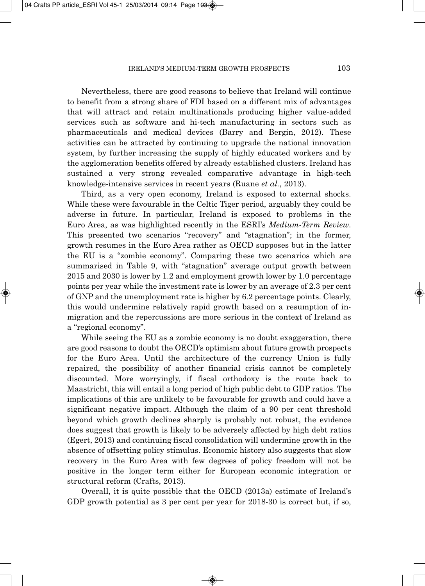Nevertheless, there are good reasons to believe that Ireland will continue to benefit from a strong share of FDI based on a different mix of advantages that will attract and retain multinationals producing higher value-added services such as software and hi-tech manufacturing in sectors such as pharmaceuticals and medical devices (Barry and Bergin, 2012). These activities can be attracted by continuing to upgrade the national innovation system, by further increasing the supply of highly educated workers and by the agglomeration benefits offered by already established clusters. Ireland has sustained a very strong revealed comparative advantage in high-tech knowledge-intensive services in recent years (Ruane *et al.*, 2013).

Third, as a very open economy, Ireland is exposed to external shocks. While these were favourable in the Celtic Tiger period, arguably they could be adverse in future. In particular, Ireland is exposed to problems in the Euro Area, as was highlighted recently in the ESRI's *Medium-Term Review*. This presented two scenarios "recovery" and "stagnation"; in the former, growth resumes in the Euro Area rather as OECD supposes but in the latter the EU is a "zombie economy". Comparing these two scenarios which are summarised in Table 9, with "stagnation" average output growth between 2015 and 2030 is lower by 1.2 and employment growth lower by 1.0 percentage points per year while the investment rate is lower by an average of 2.3 per cent of GNP and the unemployment rate is higher by 6.2 percentage points. Clearly, this would undermine relatively rapid growth based on a resumption of inmigration and the repercussions are more serious in the context of Ireland as a "regional economy".

While seeing the EU as a zombie economy is no doubt exaggeration, there are good reasons to doubt the OECD's optimism about future growth prospects for the Euro Area. Until the architecture of the currency Union is fully repaired, the possibility of another financial crisis cannot be completely discounted. More worryingly, if fiscal orthodoxy is the route back to Maastricht, this will entail a long period of high public debt to GDP ratios. The implications of this are unlikely to be favourable for growth and could have a significant negative impact. Although the claim of a 90 per cent threshold beyond which growth declines sharply is probably not robust, the evidence does suggest that growth is likely to be adversely affected by high debt ratios (Egert, 2013) and continuing fiscal consolidation will undermine growth in the absence of offsetting policy stimulus. Economic history also suggests that slow recovery in the Euro Area with few degrees of policy freedom will not be positive in the longer term either for European economic integration or structural reform (Crafts, 2013).

Overall, it is quite possible that the OECD (2013a) estimate of Ireland's GDP growth potential as 3 per cent per year for 2018-30 is correct but, if so,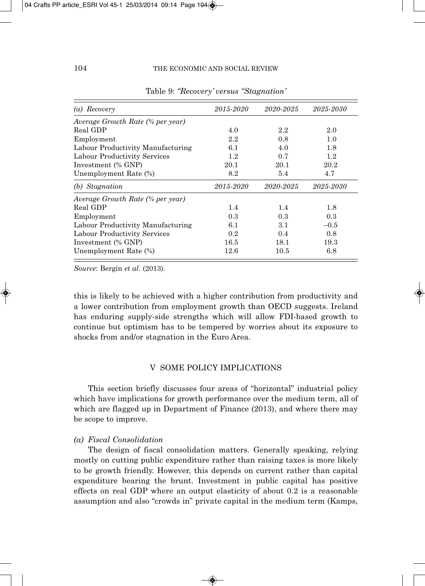| (a) Recovery                      | 2015-2020 | 2020-2025 | 2025-2030 |
|-----------------------------------|-----------|-----------|-----------|
| Average Growth Rate (% per year)  |           |           |           |
| Real GDP                          | 4.0       | 2.2       | 2.0       |
| Employment                        | 2.2       | 0.8       | 1.0       |
| Labour Productivity Manufacturing | 6.1       | 4.0       | 1.8       |
| Labour Productivity Services      | 1.2       | 0.7       | 1.2       |
| Investment (% GNP)                | 20.1      | 20.1      | 20.2      |
| Unemployment Rate (%)             | 8.2       | 5.4       | 4.7       |
| (b) Stagnation                    | 2015-2020 | 2020-2025 | 2025-2030 |
| Average Growth Rate (% per year)  |           |           |           |
| Real GDP                          | 1.4       | 1.4       | 1.8       |
| Employment                        | 0.3       | 0.3       | 0.3       |
| Labour Productivity Manufacturing | 6.1       | 3.1       | $-0.5$    |
| Labour Productivity Services      | 0.2       | 0.4       | 0.8       |
| Investment (% GNP)                | 16.5      | 18.1      | 19.3      |
| Unemployment Rate (%)             | 12.6      | 10.5      | 6.8       |

Table 9: *"Recovery' versus "Stagnation'*

*Source*: Bergin *et al*. (2013).

this is likely to be achieved with a higher contribution from productivity and a lower contribution from employment growth than OECD suggests. Ireland has enduring supply-side strengths which will allow FDI-based growth to continue but optimism has to be tempered by worries about its exposure to shocks from and/or stagnation in the Euro Area.

## V SOME POLICY IMPLICATIONS

This section briefly discusses four areas of "horizontal" industrial policy which have implications for growth performance over the medium term, all of which are flagged up in Department of Finance (2013), and where there may be scope to improve.

## *(a) Fiscal Consolidation*

The design of fiscal consolidation matters. Generally speaking, relying mostly on cutting public expenditure rather than raising taxes is more likely to be growth friendly. However, this depends on current rather than capital expenditure bearing the brunt. Investment in public capital has positive effects on real GDP where an output elasticity of about 0.2 is a reasonable assumption and also "crowds in" private capital in the medium term (Kamps,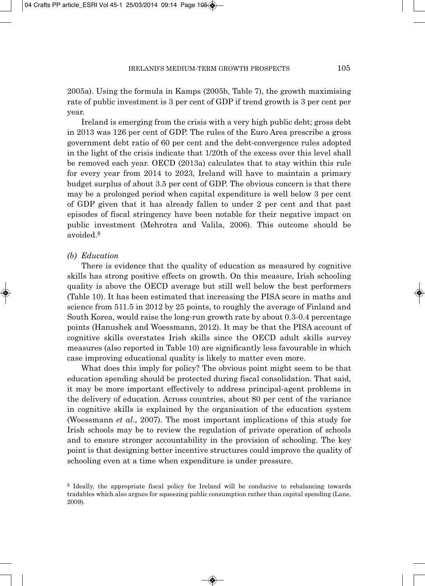2005a). Using the formula in Kamps (2005b, Table 7), the growth maximising rate of public investment is 3 per cent of GDP if trend growth is 3 per cent per year.

Ireland is emerging from the crisis with a very high public debt; gross debt in 2013 was 126 per cent of GDP. The rules of the Euro Area prescribe a gross government debt ratio of 60 per cent and the debt-convergence rules adopted in the light of the crisis indicate that 1/20th of the excess over this level shall be removed each year. OECD (2013a) calculates that to stay within this rule for every year from 2014 to 2023, Ireland will have to maintain a primary budget surplus of about 3.5 per cent of GDP. The obvious concern is that there may be a prolonged period when capital expenditure is well below 3 per cent of GDP given that it has already fallen to under 2 per cent and that past episodes of fiscal stringency have been notable for their negative impact on public investment (Mehrotra and Valila, 2006). This outcome should be avoided.8

### *(b) Education*

There is evidence that the quality of education as measured by cognitive skills has strong positive effects on growth. On this measure, Irish schooling quality is above the OECD average but still well below the best performers (Table 10). It has been estimated that increasing the PISA score in maths and science from 511.5 in 2012 by 25 points, to roughly the average of Finland and South Korea, would raise the long-run growth rate by about 0.3-0.4 percentage points (Hanushek and Woessmann, 2012). It may be that the PISA account of cognitive skills overstates Irish skills since the OECD adult skills survey measures (also reported in Table 10) are significantly less favourable in which case improving educational quality is likely to matter even more.

What does this imply for policy? The obvious point might seem to be that education spending should be protected during fiscal consolidation. That said, it may be more important effectively to address principal-agent problems in the delivery of education. Across countries, about 80 per cent of the variance in cognitive skills is explained by the organisation of the education system (Woessmann *et al.*, 2007). The most important implications of this study for Irish schools may be to review the regulation of private operation of schools and to ensure stronger accountability in the provision of schooling. The key point is that designing better incentive structures could improve the quality of schooling even at a time when expenditure is under pressure.

<sup>8</sup> Ideally, the appropriate fiscal policy for Ireland will be conducive to rebalancing towards tradables which also argues for squeezing public consumption rather than capital spending (Lane, 2009).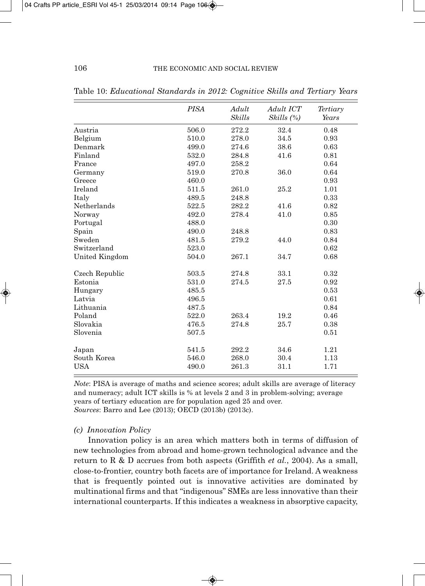|                | <b>PISA</b> | Adult<br><b>Skills</b> | Adult ICT  | Tertiary<br>Years |
|----------------|-------------|------------------------|------------|-------------------|
|                |             |                        | Skills (%) |                   |
| Austria        | 506.0       | 272.2                  | 32.4       | 0.48              |
| Belgium        | 510.0       | 278.0                  | 34.5       | 0.93              |
| Denmark        | 499.0       | 274.6                  | 38.6       | 0.63              |
| Finland        | 532.0       | 284.8                  | 41.6       | 0.81              |
| France         | 497.0       | 258.2                  |            | 0.64              |
| Germany        | 519.0       | 270.8                  | 36.0       | 0.64              |
| Greece         | 460.0       |                        |            | 0.93              |
| Ireland        | 511.5       | 261.0                  | 25.2       | 1.01              |
| Italy          | 489.5       | 248.8                  |            | 0.33              |
| Netherlands    | 522.5       | 282.2                  | 41.6       | 0.82              |
| Norway         | 492.0       | 278.4                  | 41.0       | 0.85              |
| Portugal       | 488.0       |                        |            | 0.30              |
| Spain          | 490.0       | 248.8                  |            | 0.83              |
| Sweden         | 481.5       | 279.2                  | 44.0       | 0.84              |
| Switzerland    | 523.0       |                        |            | 0.62              |
| United Kingdom | 504.0       | 267.1                  | 34.7       | 0.68              |
| Czech Republic | 503.5       | 274.8                  | 33.1       | 0.32              |
| Estonia        | 531.0       | 274.5                  | 27.5       | 0.92              |
| Hungary        | 485.5       |                        |            | 0.53              |
| Latvia         | 496.5       |                        |            | 0.61              |
| Lithuania      | 487.5       |                        |            | 0.84              |
| Poland         | 522.0       | 263.4                  | 19.2       | 0.46              |
| Slovakia       | 476.5       | 274.8                  | 25.7       | 0.38              |
| Slovenia       | 507.5       |                        |            | 0.51              |
| Japan          | 541.5       | 292.2                  | 34.6       | 1.21              |
| South Korea    | 546.0       | 268.0                  | 30.4       | 1.13              |
| <b>USA</b>     | 490.0       | 261.3                  | 31.1       | 1.71              |

Table 10: *Educational Standards in 2012: Cognitive Skills and Tertiary Years*

*Note*: PISA is average of maths and science scores; adult skills are average of literacy and numeracy; adult ICT skills is % at levels 2 and 3 in problem-solving; average years of tertiary education are for population aged 25 and over. *Sources*: Barro and Lee (2013); OECD (2013b) (2013c).

### *(c) Innovation Policy*

Innovation policy is an area which matters both in terms of diffusion of new technologies from abroad and home-grown technological advance and the return to R & D accrues from both aspects (Griffith *et al.*, 2004). As a small, close-to-frontier, country both facets are of importance for Ireland. A weakness that is frequently pointed out is innovative activities are dominated by multinational firms and that "indigenous" SMEs are less innovative than their international counterparts. If this indicates a weakness in absorptive capacity,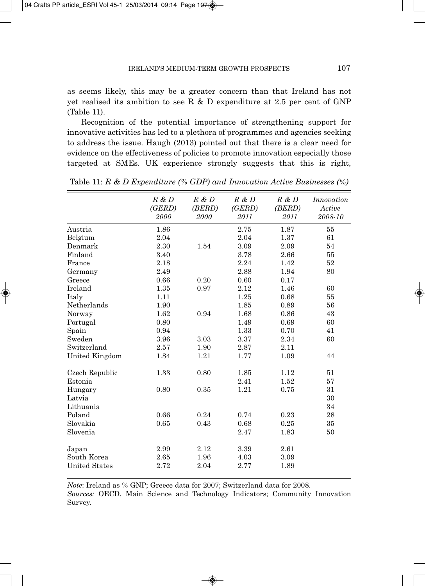as seems likely, this may be a greater concern than that Ireland has not yet realised its ambition to see R  $\&$  D expenditure at 2.5 per cent of GNP (Table 11).

Recognition of the potential importance of strengthening support for innovative activities has led to a plethora of programmes and agencies seeking to address the issue. Haugh (2013) pointed out that there is a clear need for evidence on the effectiveness of policies to promote innovation especially those targeted at SMEs. UK experience strongly suggests that this is right,

|                      | $R \& D$<br>(GERD)<br>2000 | $R \& D$<br>(BERD)<br>2000 | $R \& D$<br>(GERD)<br>2011 | $R \& D$<br>(BERD)<br>2011 | Innovation<br>Active<br>2008-10 |
|----------------------|----------------------------|----------------------------|----------------------------|----------------------------|---------------------------------|
| Austria              | 1.86                       |                            | 2.75                       | 1.87                       | 55                              |
| Belgium              | 2.04                       |                            | 2.04                       | 1.37                       | 61                              |
| Denmark              | 2.30                       | 1.54                       | 3.09                       | 2.09                       | 54                              |
| Finland              | 3.40                       |                            | 3.78                       | 2.66                       | 55                              |
| France               | 2.18                       |                            | 2.24                       | 1.42                       | 52                              |
| Germany              | 2.49                       |                            | 2.88                       | 1.94                       | 80                              |
| Greece               | 0.66                       | 0.20                       | 0.60                       | 0.17                       |                                 |
| Ireland              | 1.35                       | 0.97                       | 2.12                       | 1.46                       | 60                              |
| Italy                | 1.11                       |                            | 1.25                       | 0.68                       | 55                              |
| Netherlands          | 1.90                       |                            | 1.85                       | 0.89                       | 56                              |
| Norway               | 1.62                       | 0.94                       | 1.68                       | 0.86                       | 43                              |
| Portugal             | 0.80                       |                            | 1.49                       | 0.69                       | 60                              |
| Spain                | 0.94                       |                            | 1.33                       | 0.70                       | 41                              |
| Sweden               | 3.96                       | 3.03                       | 3.37                       | 2.34                       | 60                              |
| Switzerland          | 2.57                       | 1.90                       | 2.87                       | 2.11                       |                                 |
| United Kingdom       | 1.84                       | 1.21                       | 1.77                       | 1.09                       | 44                              |
| Czech Republic       | 1.33                       | 0.80                       | 1.85                       | 1.12                       | 51                              |
| Estonia              |                            |                            | 2.41                       | 1.52                       | 57                              |
| Hungary              | 0.80                       | 0.35                       | 1.21                       | 0.75                       | 31                              |
| Latvia               |                            |                            |                            |                            | 30                              |
| Lithuania            |                            |                            |                            |                            | 34                              |
| Poland               | 0.66                       | 0.24                       | 0.74                       | 0.23                       | 28                              |
| Slovakia             | 0.65                       | 0.43                       | 0.68                       | 0.25                       | 35                              |
| Slovenia             |                            |                            | 2.47                       | 1.83                       | 50                              |
| Japan                | 2.99                       | 2.12                       | 3.39                       | 2.61                       |                                 |
| South Korea          | 2.65                       | 1.96                       | 4.03                       | 3.09                       |                                 |
| <b>United States</b> | 2.72                       | 2.04                       | 2.77                       | 1.89                       |                                 |

Table 11: *R & D Expenditure (% GDP) and Innovation Active Businesses (%)*

*Note*: Ireland as % GNP; Greece data for 2007; Switzerland data for 2008. *Sources:* OECD, Main Science and Technology Indicators; Community Innovation Survey.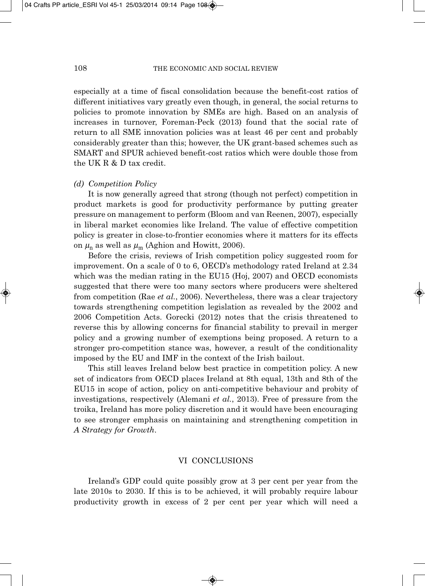especially at a time of fiscal consolidation because the benefit-cost ratios of different initiatives vary greatly even though, in general, the social returns to policies to promote innovation by SMEs are high. Based on an analysis of increases in turnover, Foreman-Peck (2013) found that the social rate of return to all SME innovation policies was at least 46 per cent and probably considerably greater than this; however, the UK grant-based schemes such as SMART and SPUR achieved benefit-cost ratios which were double those from the UK R & D tax credit.

#### *(d) Competition Policy*

It is now generally agreed that strong (though not perfect) competition in product markets is good for productivity performance by putting greater pressure on management to perform (Bloom and van Reenen, 2007), especially in liberal market economies like Ireland. The value of effective competition policy is greater in close-to-frontier economies where it matters for its effects on  $\mu_n$  as well as  $\mu_m$  (Aghion and Howitt, 2006).

Before the crisis, reviews of Irish competition policy suggested room for improvement. On a scale of 0 to 6, OECD's methodology rated Ireland at 2.34 which was the median rating in the EU15 (Hoj, 2007) and OECD economists suggested that there were too many sectors where producers were sheltered from competition (Rae *et al.*, 2006). Nevertheless, there was a clear trajectory towards strengthening competition legislation as revealed by the 2002 and 2006 Competition Acts. Gorecki (2012) notes that the crisis threatened to reverse this by allowing concerns for financial stability to prevail in merger policy and a growing number of exemptions being proposed. A return to a stronger pro-competition stance was, however, a result of the conditionality imposed by the EU and IMF in the context of the Irish bailout.

This still leaves Ireland below best practice in competition policy. A new set of indicators from OECD places Ireland at 8th equal, 13th and 8th of the EU15 in scope of action, policy on anti-competitive behaviour and probity of investigations, respectively (Alemani *et al.*, 2013). Free of pressure from the troika, Ireland has more policy discretion and it would have been encouraging to see stronger emphasis on maintaining and strengthening competition in *A Strategy for Growth*.

#### VI CONCLUSIONS

Ireland's GDP could quite possibly grow at 3 per cent per year from the late 2010s to 2030. If this is to be achieved, it will probably require labour productivity growth in excess of 2 per cent per year which will need a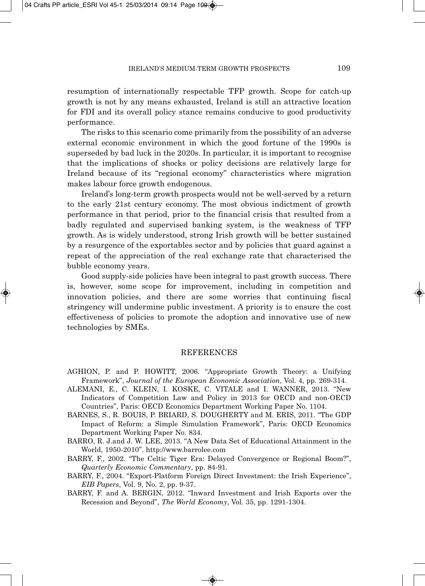resumption of internationally respectable TFP growth. Scope for catch-up growth is not by any means exhausted, Ireland is still an attractive location for FDI and its overall policy stance remains conducive to good productivity performance.

The risks to this scenario come primarily from the possibility of an adverse external economic environment in which the good fortune of the 1990s is superseded by bad luck in the 2020s. In particular, it is important to recognise that the implications of shocks or policy decisions are relatively large for Ireland because of its "regional economy" characteristics where migration makes labour force growth endogenous.

Ireland's long-term growth prospects would not be well-served by a return to the early 21st century economy. The most obvious indictment of growth performance in that period, prior to the financial crisis that resulted from a badly regulated and supervised banking system, is the weakness of TFP growth. As is widely understood, strong Irish growth will be better sustained by a resurgence of the exportables sector and by policies that guard against a repeat of the appreciation of the real exchange rate that characterised the bubble economy years.

Good supply-side policies have been integral to past growth success. There is, however, some scope for improvement, including in competition and innovation policies, and there are some worries that continuing fiscal stringency will undermine public investment. A priority is to ensure the cost effectiveness of policies to promote the adoption and innovative use of new technologies by SMEs.

#### **REFERENCES**

- AGHION, P. and P. HOWITT, 2006. "Appropriate Growth Theory: a Unifying Framework", *Journal of the European Economic Association*, Vol. 4, pp. 269-314.
- ALEMANI, E., C. KLEIN, I. KOSKE, C. VITALE and I. WANNER, 2013. "New Indicators of Competition Law and Policy in 2013 for OECD and non-OECD Countries", Paris: OECD Economics Department Working Paper No. 1104.
- BARNES, S., R. BOUIS, P. BRIARD, S. DOUGHERTY and M. ERIS, 2011. "The GDP Impact of Reform: a Simple Simulation Framework", Paris: OECD Economics Department Working Paper No. 834.
- BARRO, R. J.and J. W. LEE, 2013. "A New Data Set of Educational Attainment in the World, 1950-2010". http://www.barrolee.com
- BARRY, F., 2002. "The Celtic Tiger Era: Delayed Convergence or Regional Boom?", *Quarterly Economic Commentary*, pp. 84-91.
- BARRY, F., 2004. "Export-Platform Foreign Direct Investment: the Irish Experience", *EIB Papers*, Vol. 9, No. 2, pp. 9-37.
- BARRY, F. and A. BERGIN, 2012. "Inward Investment and Irish Exports over the Recession and Beyond", *The World Economy*, Vol. 35, pp. 1291-1304.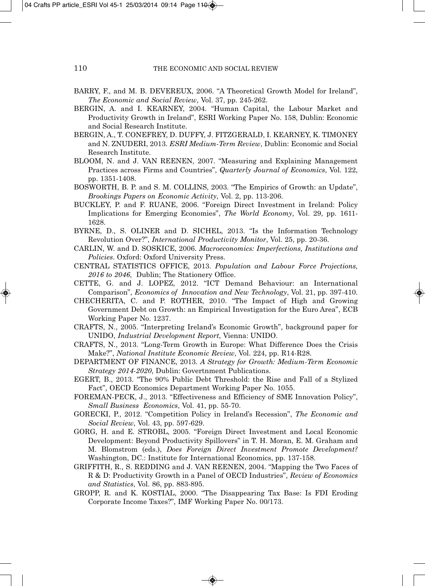- BARRY, F., and M. B. DEVEREUX, 2006. "A Theoretical Growth Model for Ireland", *The Economic and Social Review*, Vol. 37, pp. 245-262.
- BERGIN, A. and I. KEARNEY, 2004. "Human Capital, the Labour Market and Productivity Growth in Ireland", ESRI Working Paper No. 158, Dublin: Economic and Social Research Institute.
- BERGIN, A., T. CONEFREY, D. DUFFY, J. FITZGERALD, I. KEARNEY, K. TIMONEY and N. ZNUDERI, 2013. *ESRI Medium-Term Review*, Dublin: Economic and Social Research Institute.
- BLOOM, N. and J. VAN REENEN, 2007. "Measuring and Explaining Management Practices across Firms and Countries", *Quarterly Journal of Economics*, Vol. 122, pp. 1351-1408.
- BOSWORTH, B. P. and S. M. COLLINS, 2003. "The Empirics of Growth: an Update", *Brookings Papers on Economic Activity*, Vol. 2, pp. 113-206.
- BUCKLEY, P. and F. RUANE, 2006. "Foreign Direct Investment in Ireland: Policy Implications for Emerging Economies", *The World Economy*, Vol. 29, pp. 1611- 1628.
- BYRNE, D., S. OLINER and D. SICHEL, 2013. "Is the Information Technology Revolution Over?", *International Productivity Monitor*, Vol. 25, pp. 20-36.
- CARLIN, W. and D. SOSKICE, 2006. *Macroeconomics: Imperfections, Institutions and Policies*. Oxford: Oxford University Press.
- CENTRAL STATISTICS OFFICE, 2013. *Population and Labour Force Projections, 2016 to 2046*, Dublin; The Stationery Office.
- CETTE, G. and J. LOPEZ, 2012. "ICT Demand Behaviour: an International Comparison", *Economics of Innovation and New Technology*, Vol. 21, pp. 397-410.
- CHECHERITA, C. and P. ROTHER, 2010. "The Impact of High and Growing Government Debt on Growth: an Empirical Investigation for the Euro Area", ECB Working Paper No. 1237.
- CRAFTS, N., 2005. "Interpreting Ireland's Economic Growth", background paper for UNIDO, *Industrial Development Report*, Vienna: UNIDO.
- CRAFTS, N., 2013. "Long-Term Growth in Europe: What Difference Does the Crisis Make?", *National Institute Economic Review*, Vol. 224, pp. R14-R28.
- DEPARTMENT OF FINANCE, 2013. *A Strategy for Growth: Medium-Term Economic Strategy 2014-2020*, Dublin: Govertnment Publications.
- EGERT, B., 2013. "The 90% Public Debt Threshold: the Rise and Fall of a Stylized Fact", OECD Economics Department Working Paper No. 1055.
- FOREMAN-PECK, J., 2013. "Effectiveness and Efficiency of SME Innovation Policy", *Small Business Economics*, Vol. 41, pp. 55-70.
- GORECKI, P., 2012. "Competition Policy in Ireland's Recession", *The Economic and Social Review*, Vol. 43, pp. 597-629.
- GORG, H. and E. STROBL, 2005. "Foreign Direct Investment and Local Economic Development: Beyond Productivity Spillovers" in T. H. Moran, E. M. Graham and M. Blomstrom (eds.), *Does Foreign Direct Investment Promote Development?* Washington, DC.: Institute for International Economics, pp. 137-158.
- GRIFFITH, R., S. REDDING and J. VAN REENEN, 2004. "Mapping the Two Faces of R & D: Productivity Growth in a Panel of OECD Industries", *Review of Economics and Statistics*, Vol. 86, pp. 883-895.
- GROPP, R. and K. KOSTIAL, 2000. "The Disappearing Tax Base: Is FDI Eroding Corporate Income Taxes?", IMF Working Paper No. 00/173.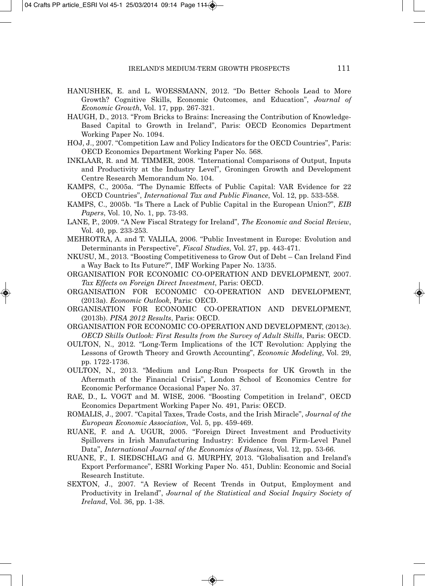- HANUSHEK, E. and L. WOESSMANN, 2012. "Do Better Schools Lead to More Growth? Cognitive Skills, Economic Outcomes, and Education", *Journal of Economic Growth*, Vol. 17, ppp. 267-321.
- HAUGH, D., 2013. "From Bricks to Brains: Increasing the Contribution of Knowledge-Based Capital to Growth in Ireland", Paris: OECD Economics Department Working Paper No. 1094.
- HOJ, J., 2007. "Competition Law and Policy Indicators for the OECD Countries", Paris: OECD Economics Department Working Paper No. 568.
- INKLAAR, R. and M. TIMMER, 2008. "International Comparisons of Output, Inputs and Productivity at the Industry Level", Groningen Growth and Development Centre Research Memorandum No. 104.
- KAMPS, C., 2005a. "The Dynamic Effects of Public Capital: VAR Evidence for 22 OECD Countries", *International Tax and Public Finance*, Vol. 12, pp. 533-558.
- KAMPS, C., 2005b. "Is There a Lack of Public Capital in the European Union?", *EIB Papers*, Vol. 10, No. 1, pp. 73-93.
- LANE, P., 2009. "A New Fiscal Strategy for Ireland", *The Economic and Social Review*, Vol. 40, pp. 233-253.
- MEHROTRA, A. and T. VALILA, 2006. "Public Investment in Europe: Evolution and Determinants in Perspective", *Fiscal Studies*, Vol. 27, pp. 443-471.
- NKUSU, M., 2013. "Boosting Competitiveness to Grow Out of Debt Can Ireland Find a Way Back to Its Future?", IMF Working Paper No. 13/35.
- ORGANISATION FOR ECONOMIC CO-OPERATION AND DEVELOPMENT, 2007. *Tax Effects on Foreign Direct Investment*, Paris: OECD.
- ORGANISATION FOR ECONOMIC CO-OPERATION AND DEVELOPMENT, (2013a). *Economic Outlook*, Paris: OECD.
- ORGANISATION FOR ECONOMIC CO-OPERATION AND DEVELOPMENT, (2013b). *PISA 2012 Results*, Paris: OECD.
- ORGANISATION FOR ECONOMIC CO-OPERATION AND DEVELOPMENT, (2013c). *OECD Skills Outlook: First Results from the Survey of Adult Skills*, Paris: OECD.
- OULTON, N., 2012. "Long-Term Implications of the ICT Revolution: Applying the Lessons of Growth Theory and Growth Accounting", *Economic Modeling*, Vol. 29, pp. 1722-1736.
- OULTON, N., 2013. "Medium and Long-Run Prospects for UK Growth in the Aftermath of the Financial Crisis", London School of Economics Centre for Economic Performance Occasional Paper No. 37.
- RAE, D., L. VOGT and M. WISE, 2006. "Boosting Competition in Ireland", OECD Economics Department Working Paper No. 491, Paris: OECD.
- ROMALIS, J., 2007. "Capital Taxes, Trade Costs, and the Irish Miracle", *Journal of the European Economic Association*, Vol. 5, pp. 459-469.
- RUANE, F. and A. UGUR, 2005. "Foreign Direct Investment and Productivity Spillovers in Irish Manufacturing Industry: Evidence from Firm-Level Panel Data", *International Journal of the Economics of Business,* Vol. 12, pp. 53-66.
- RUANE, F., I. SIEDSCHLAG and G. MURPHY, 2013. "Globalisation and Ireland's Export Performance", ESRI Working Paper No. 451, Dublin: Economic and Social Research Institute.
- SEXTON, J., 2007. "A Review of Recent Trends in Output, Employment and Productivity in Ireland", *Journal of the Statistical and Social Inquiry Society of Ireland*, Vol. 36, pp. 1-38.